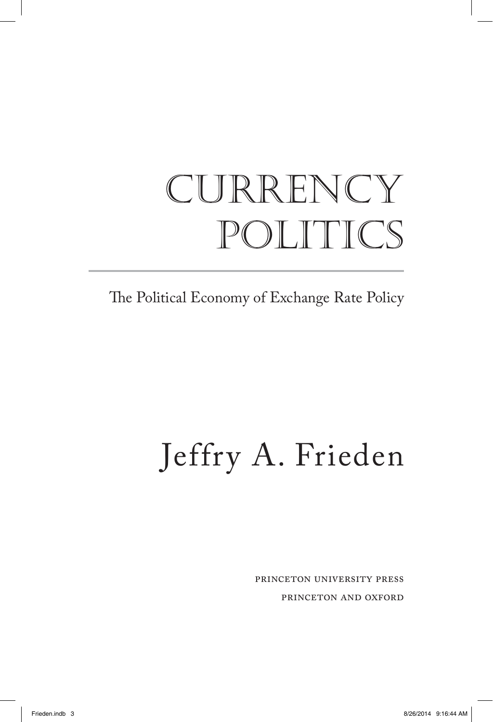# CURRENCY POLITICS

The Political Economy of Exchange Rate Policy

## Jeffry A. Frieden

Princeton University Press PRINCETON AND OXFORD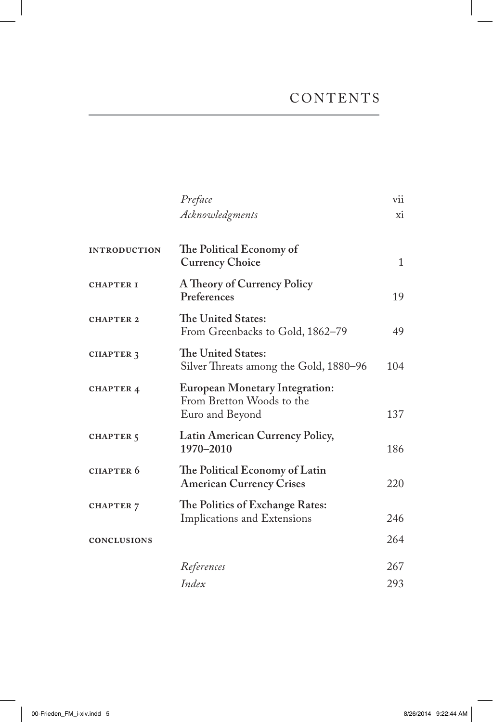## CONTENTS

|                     | Preface                                                                               | vii                      |
|---------------------|---------------------------------------------------------------------------------------|--------------------------|
|                     | Acknowledgments                                                                       | $\overline{\mathrm{xi}}$ |
| <b>INTRODUCTION</b> | The Political Economy of<br><b>Currency Choice</b>                                    | $\mathbf{1}$             |
| <b>CHAPTER I</b>    | A Theory of Currency Policy<br>Preferences                                            | 19                       |
| <b>CHAPTER 2</b>    | The United States:<br>From Greenbacks to Gold, 1862-79                                | 49                       |
| <b>CHAPTER 3</b>    | The United States:<br>Silver Threats among the Gold, 1880-96                          | 104                      |
| <b>CHAPTER 4</b>    | <b>European Monetary Integration:</b><br>From Bretton Woods to the<br>Euro and Beyond | 137                      |
| <b>CHAPTER 5</b>    | Latin American Currency Policy,<br>1970-2010                                          | 186                      |
| CHAPTER 6           | The Political Economy of Latin<br><b>American Currency Crises</b>                     | 220                      |
| <b>CHAPTER 7</b>    | The Politics of Exchange Rates:<br>Implications and Extensions                        | 246                      |
| <b>CONCLUSIONS</b>  |                                                                                       | 264                      |
|                     | References                                                                            | 267                      |
|                     | Index                                                                                 | 293                      |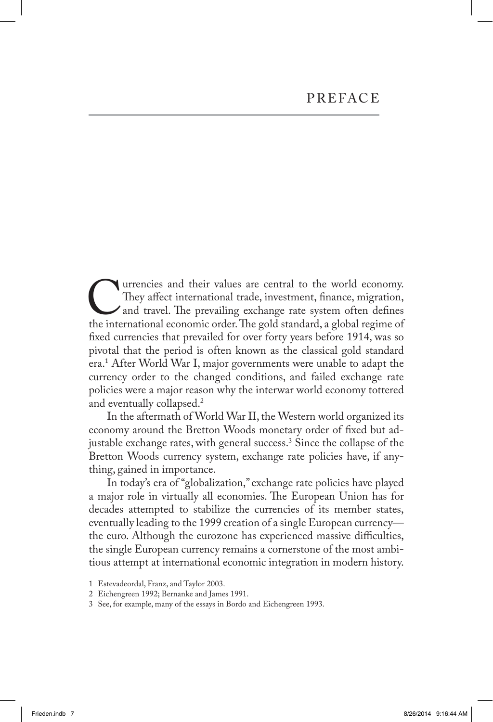### PREFACE

They affect international trade, investment, finance, migration, and travel. The prevailing exchange rate system often defines the international economic order. The gold standard, a global regime of They affect international trade, investment, finance, migration, and travel. The prevailing exchange rate system often defines fixed currencies that prevailed for over forty years before 1914, was so pivotal that the period is often known as the classical gold standard era.1 After World War I, major governments were unable to adapt the currency order to the changed conditions, and failed exchange rate policies were a major reason why the interwar world economy tottered and eventually collapsed.2

In the aftermath of World War II, the Western world organized its economy around the Bretton Woods monetary order of fixed but adjustable exchange rates, with general success.3 Since the collapse of the Bretton Woods currency system, exchange rate policies have, if anything, gained in importance.

In today's era of "globalization," exchange rate policies have played a major role in virtually all economies. The European Union has for decades attempted to stabilize the currencies of its member states, eventually leading to the 1999 creation of a single European currency the euro. Although the eurozone has experienced massive difficulties, the single European currency remains a cornerstone of the most ambitious attempt at international economic integration in modern history.

- 2 Eichengreen 1992; Bernanke and James 1991.
- 3 See, for example, many of the essays in Bordo and Eichengreen 1993.

<sup>1</sup> Estevadeordal, Franz, and Taylor 2003.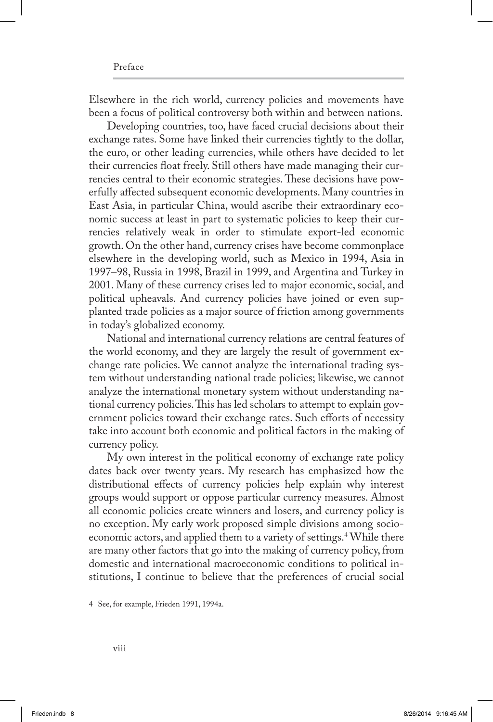Elsewhere in the rich world, currency policies and movements have been a focus of political controversy both within and between nations.

Developing countries, too, have faced crucial decisions about their exchange rates. Some have linked their currencies tightly to the dollar, the euro, or other leading currencies, while others have decided to let their currencies float freely. Still others have made managing their currencies central to their economic strategies. These decisions have powerfully affected subsequent economic developments. Many countries in East Asia, in particular China, would ascribe their extraordinary economic success at least in part to systematic policies to keep their currencies relatively weak in order to stimulate export-led economic growth. On the other hand, currency crises have become commonplace elsewhere in the developing world, such as Mexico in 1994, Asia in 1997–98, Russia in 1998, Brazil in 1999, and Argentina and Turkey in 2001. Many of these currency crises led to major economic, social, and political upheavals. And currency policies have joined or even supplanted trade policies as a major source of friction among governments in today's globalized economy.

National and international currency relations are central features of the world economy, and they are largely the result of government exchange rate policies. We cannot analyze the international trading system without understanding national trade policies; likewise, we cannot analyze the international monetary system without understanding national currency policies. This has led scholars to attempt to explain government policies toward their exchange rates. Such efforts of necessity take into account both economic and political factors in the making of currency policy.

My own interest in the political economy of exchange rate policy dates back over twenty years. My research has emphasized how the distributional effects of currency policies help explain why interest groups would support or oppose particular currency measures. Almost all economic policies create winners and losers, and currency policy is no exception. My early work proposed simple divisions among socioeconomic actors, and applied them to a variety of settings.<sup>4</sup> While there are many other factors that go into the making of currency policy, from domestic and international macroeconomic conditions to political institutions, I continue to believe that the preferences of crucial social

<sup>4</sup> See, for example, Frieden 1991, 1994a.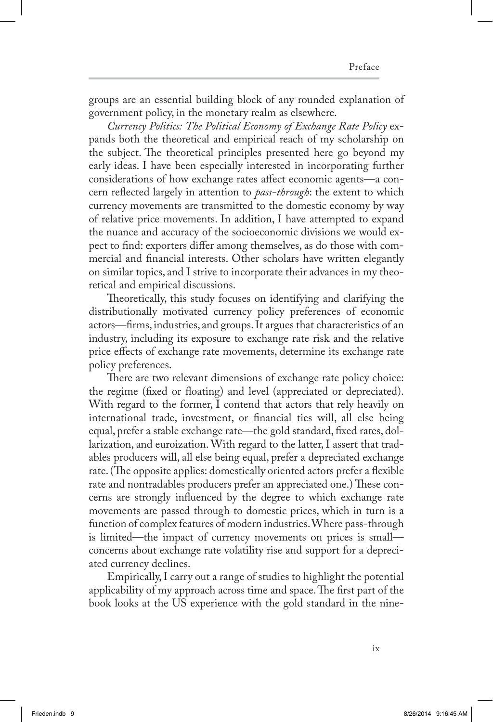groups are an essential building block of any rounded explanation of government policy, in the monetary realm as elsewhere.

*Currency Politics: The Political Economy of Exchange Rate Policy* expands both the theoretical and empirical reach of my scholarship on the subject. The theoretical principles presented here go beyond my early ideas. I have been especially interested in incorporating further considerations of how exchange rates affect economic agents—a concern reflected largely in attention to *pass-through*: the extent to which currency movements are transmitted to the domestic economy by way of relative price movements. In addition, I have attempted to expand the nuance and accuracy of the socioeconomic divisions we would expect to find: exporters differ among themselves, as do those with commercial and financial interests. Other scholars have written elegantly on similar topics, and I strive to incorporate their advances in my theoretical and empirical discussions.

Theoretically, this study focuses on identifying and clarifying the distributionally motivated currency policy preferences of economic actors—firms, industries, and groups. It argues that characteristics of an industry, including its exposure to exchange rate risk and the relative price effects of exchange rate movements, determine its exchange rate policy preferences.

There are two relevant dimensions of exchange rate policy choice: the regime (fixed or floating) and level (appreciated or depreciated). With regard to the former, I contend that actors that rely heavily on international trade, investment, or financial ties will, all else being equal, prefer a stable exchange rate—the gold standard, fixed rates, dollarization, and euroization. With regard to the latter, I assert that tradables producers will, all else being equal, prefer a depreciated exchange rate. (The opposite applies: domestically oriented actors prefer a flexible rate and nontradables producers prefer an appreciated one.) These concerns are strongly influenced by the degree to which exchange rate movements are passed through to domestic prices, which in turn is a function of complex features of modern industries. Where pass-through is limited—the impact of currency movements on prices is small concerns about exchange rate volatility rise and support for a depreciated currency declines.

Empirically, I carry out a range of studies to highlight the potential applicability of my approach across time and space. The first part of the book looks at the US experience with the gold standard in the nine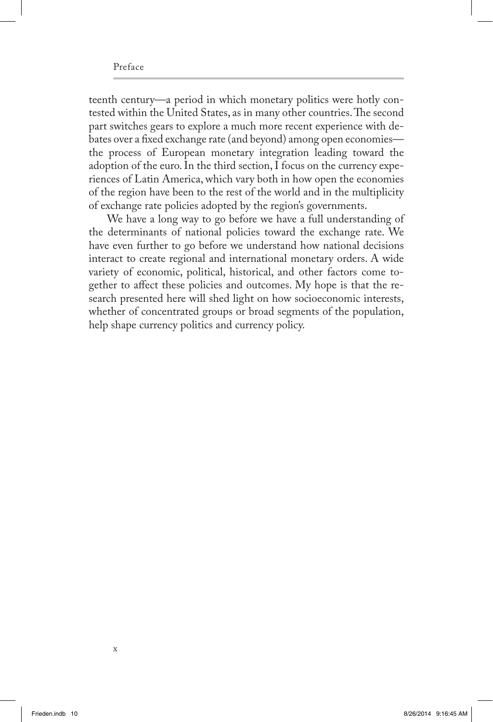teenth century—a period in which monetary politics were hotly contested within the United States, as in many other countries. The second part switches gears to explore a much more recent experience with debates over a fixed exchange rate (and beyond) among open economies the process of European monetary integration leading toward the adoption of the euro. In the third section, I focus on the currency experiences of Latin America, which vary both in how open the economies of the region have been to the rest of the world and in the multiplicity of exchange rate policies adopted by the region's governments.

We have a long way to go before we have a full understanding of the determinants of national policies toward the exchange rate. We have even further to go before we understand how national decisions interact to create regional and international monetary orders. A wide variety of economic, political, historical, and other factors come together to affect these policies and outcomes. My hope is that the research presented here will shed light on how socioeconomic interests, whether of concentrated groups or broad segments of the population, help shape currency politics and currency policy.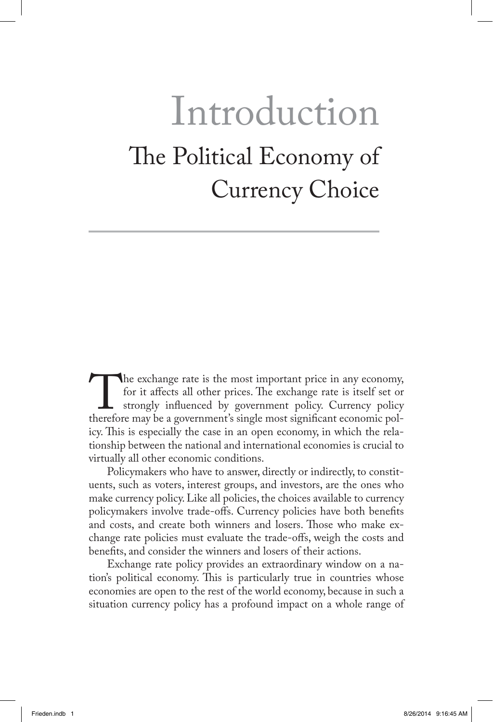## Introduction The Political Economy of Currency Choice

The exchange rate is the most important price in any economy, for it affects all other prices. The exchange rate is itself set or strongly influenced by government policy. Currency policy therefore may be a government's si for it affects all other prices. The exchange rate is itself set or strongly influenced by government policy. Currency policy icy. This is especially the case in an open economy, in which the relationship between the national and international economies is crucial to virtually all other economic conditions.

Policymakers who have to answer, directly or indirectly, to constituents, such as voters, interest groups, and investors, are the ones who make currency policy. Like all policies, the choices available to currency policymakers involve trade-offs. Currency policies have both benefits and costs, and create both winners and losers. Those who make exchange rate policies must evaluate the trade-offs, weigh the costs and benefits, and consider the winners and losers of their actions.

Exchange rate policy provides an extraordinary window on a nation's political economy. This is particularly true in countries whose economies are open to the rest of the world economy, because in such a situation currency policy has a profound impact on a whole range of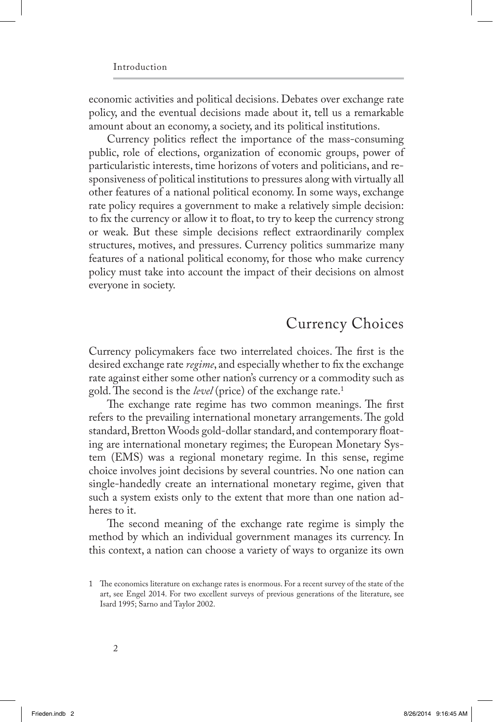economic activities and political decisions. Debates over exchange rate policy, and the eventual decisions made about it, tell us a remarkable amount about an economy, a society, and its political institutions.

Currency politics reflect the importance of the mass-consuming public, role of elections, organization of economic groups, power of particularistic interests, time horizons of voters and politicians, and responsiveness of political institutions to pressures along with virtually all other features of a national political economy. In some ways, exchange rate policy requires a government to make a relatively simple decision: to fix the currency or allow it to float, to try to keep the currency strong or weak. But these simple decisions reflect extraordinarily complex structures, motives, and pressures. Currency politics summarize many features of a national political economy, for those who make currency policy must take into account the impact of their decisions on almost everyone in society.

## Currency Choices

Currency policymakers face two interrelated choices. The first is the desired exchange rate *regime*, and especially whether to fix the exchange rate against either some other nation's currency or a commodity such as gold. The second is the *level* (price) of the exchange rate.<sup>1</sup>

The exchange rate regime has two common meanings. The first refers to the prevailing international monetary arrangements. The gold standard, Bretton Woods gold-dollar standard, and contemporary floating are international monetary regimes; the European Monetary System (EMS) was a regional monetary regime. In this sense, regime choice involves joint decisions by several countries. No one nation can single-handedly create an international monetary regime, given that such a system exists only to the extent that more than one nation adheres to it.

The second meaning of the exchange rate regime is simply the method by which an individual government manages its currency. In this context, a nation can choose a variety of ways to organize its own

<sup>1</sup> The economics literature on exchange rates is enormous. For a recent survey of the state of the art, see Engel 2014. For two excellent surveys of previous generations of the literature, see Isard 1995; Sarno and Taylor 2002.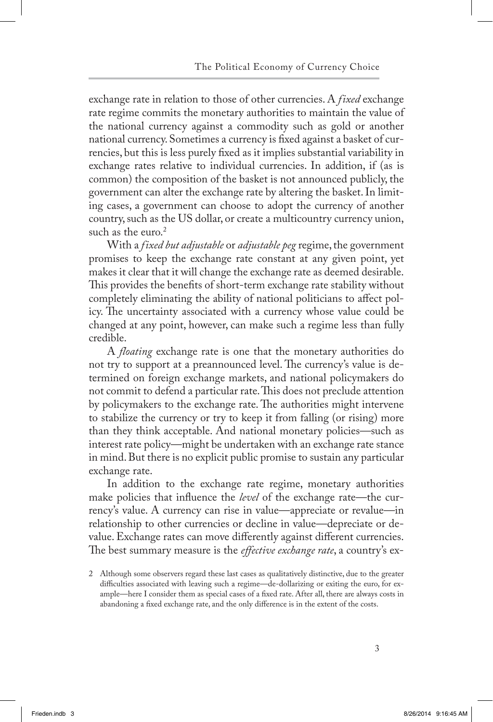exchange rate in relation to those of other currencies. A *fixed* exchange rate regime commits the monetary authorities to maintain the value of the national currency against a commodity such as gold or another national currency. Sometimes a currency is fixed against a basket of currencies, but this is less purely fixed as it implies substantial variability in exchange rates relative to individual currencies. In addition, if (as is common) the composition of the basket is not announced publicly, the government can alter the exchange rate by altering the basket. In limiting cases, a government can choose to adopt the currency of another country, such as the US dollar, or create a multicountry currency union, such as the euro.<sup>2</sup>

With a *fixed but adjustable* or *adjustable peg* regime, the government promises to keep the exchange rate constant at any given point, yet makes it clear that it will change the exchange rate as deemed desirable. This provides the benefits of short-term exchange rate stability without completely eliminating the ability of national politicians to affect policy. The uncertainty associated with a currency whose value could be changed at any point, however, can make such a regime less than fully credible.

A *floating* exchange rate is one that the monetary authorities do not try to support at a preannounced level. The currency's value is determined on foreign exchange markets, and national policymakers do not commit to defend a particular rate. This does not preclude attention by policymakers to the exchange rate. The authorities might intervene to stabilize the currency or try to keep it from falling (or rising) more than they think acceptable. And national monetary policies—such as interest rate policy—might be undertaken with an exchange rate stance in mind. But there is no explicit public promise to sustain any particular exchange rate.

In addition to the exchange rate regime, monetary authorities make policies that influence the *level* of the exchange rate—the currency's value. A currency can rise in value—appreciate or revalue—in relationship to other currencies or decline in value—depreciate or devalue. Exchange rates can move differently against different currencies. The best summary measure is the *effective exchange rate*, a country's ex-

<sup>2</sup> Although some observers regard these last cases as qualitatively distinctive, due to the greater difficulties associated with leaving such a regime—de-dollarizing or exiting the euro, for example—here I consider them as special cases of a fixed rate. After all, there are always costs in abandoning a fixed exchange rate, and the only difference is in the extent of the costs.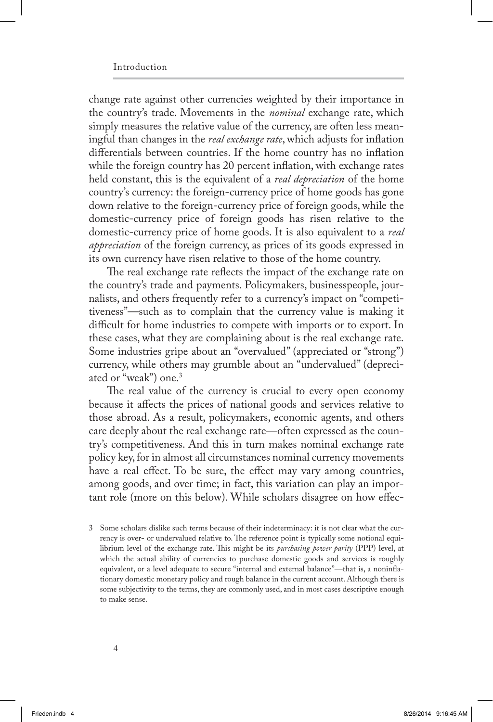change rate against other currencies weighted by their importance in the country's trade. Movements in the *nominal* exchange rate, which simply measures the relative value of the currency, are often less meaningful than changes in the *real exchange rate*, which adjusts for inflation differentials between countries. If the home country has no inflation while the foreign country has 20 percent inflation, with exchange rates held constant, this is the equivalent of a *real depreciation* of the home country's currency: the foreign-currency price of home goods has gone down relative to the foreign-currency price of foreign goods, while the domestic-currency price of foreign goods has risen relative to the domestic-currency price of home goods. It is also equivalent to a *real appreciation* of the foreign currency, as prices of its goods expressed in its own currency have risen relative to those of the home country.

The real exchange rate reflects the impact of the exchange rate on the country's trade and payments. Policymakers, businesspeople, journalists, and others frequently refer to a currency's impact on "competitiveness"—such as to complain that the currency value is making it difficult for home industries to compete with imports or to export. In these cases, what they are complaining about is the real exchange rate. Some industries gripe about an "overvalued" (appreciated or "strong") currency, while others may grumble about an "undervalued" (depreciated or "weak") one.3

The real value of the currency is crucial to every open economy because it affects the prices of national goods and services relative to those abroad. As a result, policymakers, economic agents, and others care deeply about the real exchange rate—often expressed as the country's competitiveness. And this in turn makes nominal exchange rate policy key, for in almost all circumstances nominal currency movements have a real effect. To be sure, the effect may vary among countries, among goods, and over time; in fact, this variation can play an important role (more on this below). While scholars disagree on how effec-

<sup>3</sup> Some scholars dislike such terms because of their indeterminacy: it is not clear what the currency is over- or undervalued relative to. The reference point is typically some notional equilibrium level of the exchange rate. This might be its *purchasing power parity* (PPP) level, at which the actual ability of currencies to purchase domestic goods and services is roughly equivalent, or a level adequate to secure "internal and external balance"—that is, a noninflationary domestic monetary policy and rough balance in the current account. Although there is some subjectivity to the terms, they are commonly used, and in most cases descriptive enough to make sense.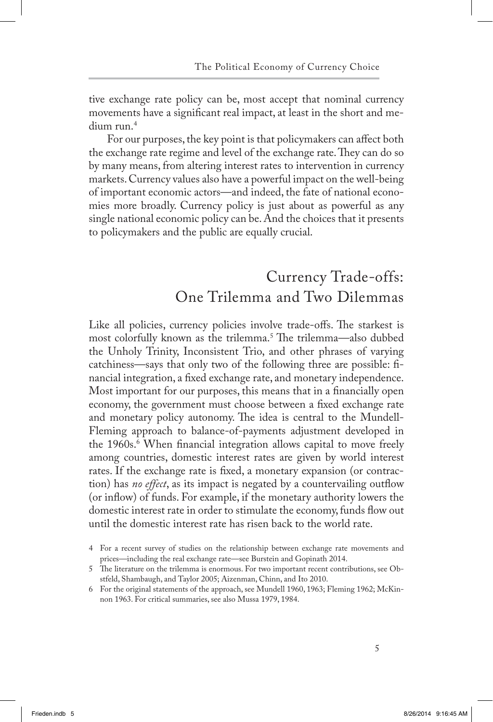tive exchange rate policy can be, most accept that nominal currency movements have a significant real impact, at least in the short and medium run.4

For our purposes, the key point is that policymakers can affect both the exchange rate regime and level of the exchange rate. They can do so by many means, from altering interest rates to intervention in currency markets. Currency values also have a powerful impact on the well-being of important economic actors—and indeed, the fate of national economies more broadly. Currency policy is just about as powerful as any single national economic policy can be. And the choices that it presents to policymakers and the public are equally crucial.

> Currency Trade-offs: One Trilemma and Two Dilemmas

Like all policies, currency policies involve trade-offs. The starkest is most colorfully known as the trilemma.5 The trilemma—also dubbed the Unholy Trinity, Inconsistent Trio, and other phrases of varying catchiness—says that only two of the following three are possible: financial integration, a fixed exchange rate, and monetary independence. Most important for our purposes, this means that in a financially open economy, the government must choose between a fixed exchange rate and monetary policy autonomy. The idea is central to the Mundell-Fleming approach to balance-of-payments adjustment developed in the 1960s.<sup>6</sup> When financial integration allows capital to move freely among countries, domestic interest rates are given by world interest rates. If the exchange rate is fixed, a monetary expansion (or contraction) has *no effect*, as its impact is negated by a countervailing outflow (or inflow) of funds. For example, if the monetary authority lowers the domestic interest rate in order to stimulate the economy, funds flow out until the domestic interest rate has risen back to the world rate.

<sup>4</sup> For a recent survey of studies on the relationship between exchange rate movements and prices—including the real exchange rate—see Burstein and Gopinath 2014.

<sup>5</sup> The literature on the trilemma is enormous. For two important recent contributions, see Obstfeld, Shambaugh, and Taylor 2005; Aizenman, Chinn, and Ito 2010.

<sup>6</sup> For the original statements of the approach, see Mundell 1960, 1963; Fleming 1962; McKinnon 1963. For critical summaries, see also Mussa 1979, 1984.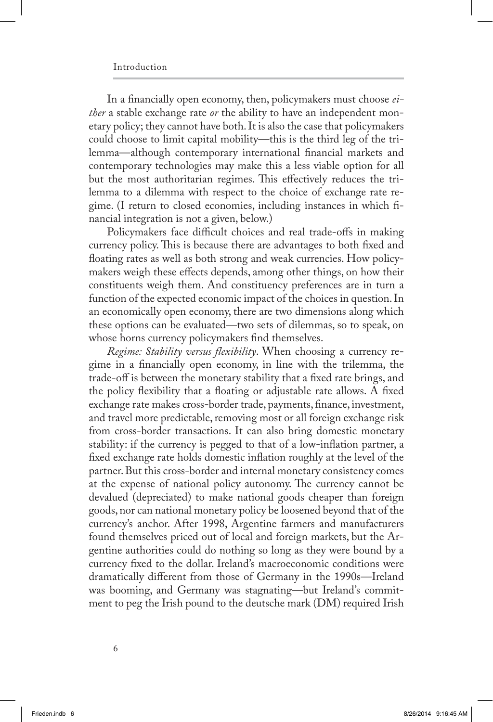In a financially open economy, then, policymakers must choose *either* a stable exchange rate *or* the ability to have an independent monetary policy; they cannot have both. It is also the case that policymakers could choose to limit capital mobility—this is the third leg of the trilemma—although contemporary international financial markets and contemporary technologies may make this a less viable option for all but the most authoritarian regimes. This effectively reduces the trilemma to a dilemma with respect to the choice of exchange rate regime. (I return to closed economies, including instances in which financial integration is not a given, below.)

Policymakers face difficult choices and real trade-offs in making currency policy. This is because there are advantages to both fixed and floating rates as well as both strong and weak currencies. How policymakers weigh these effects depends, among other things, on how their constituents weigh them. And constituency preferences are in turn a function of the expected economic impact of the choices in question. In an economically open economy, there are two dimensions along which these options can be evaluated—two sets of dilemmas, so to speak, on whose horns currency policymakers find themselves.

*Regime: Stability versus flexibility*. When choosing a currency regime in a financially open economy, in line with the trilemma, the trade-off is between the monetary stability that a fixed rate brings, and the policy flexibility that a floating or adjustable rate allows. A fixed exchange rate makes cross-border trade, payments, finance, investment, and travel more predictable, removing most or all foreign exchange risk from cross-border transactions. It can also bring domestic monetary stability: if the currency is pegged to that of a low-inflation partner, a fixed exchange rate holds domestic inflation roughly at the level of the partner. But this cross-border and internal monetary consistency comes at the expense of national policy autonomy. The currency cannot be devalued (depreciated) to make national goods cheaper than foreign goods, nor can national monetary policy be loosened beyond that of the currency's anchor. After 1998, Argentine farmers and manufacturers found themselves priced out of local and foreign markets, but the Argentine authorities could do nothing so long as they were bound by a currency fixed to the dollar. Ireland's macroeconomic conditions were dramatically different from those of Germany in the 1990s—Ireland was booming, and Germany was stagnating—but Ireland's commitment to peg the Irish pound to the deutsche mark (DM) required Irish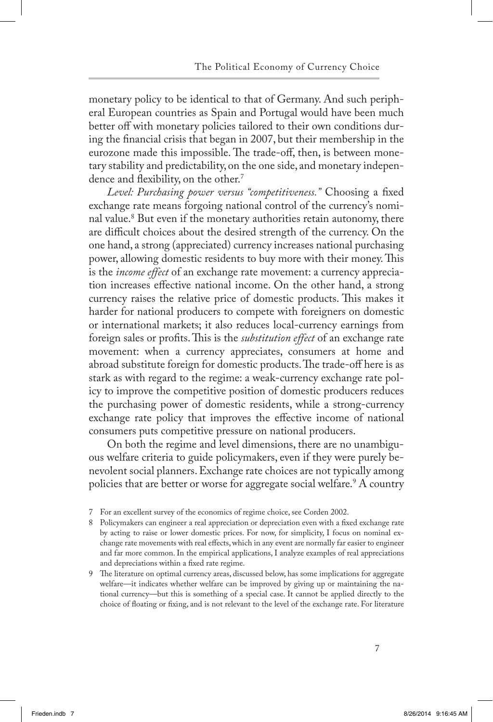monetary policy to be identical to that of Germany. And such peripheral European countries as Spain and Portugal would have been much better off with monetary policies tailored to their own conditions during the financial crisis that began in 2007, but their membership in the eurozone made this impossible. The trade-off, then, is between monetary stability and predictability, on the one side, and monetary independence and flexibility, on the other.<sup>7</sup>

*Level: Purchasing power versus "competitiveness."* Choosing a fixed exchange rate means forgoing national control of the currency's nominal value.8 But even if the monetary authorities retain autonomy, there are difficult choices about the desired strength of the currency. On the one hand, a strong (appreciated) currency increases national purchasing power, allowing domestic residents to buy more with their money. This is the *income effect* of an exchange rate movement: a currency appreciation increases effective national income. On the other hand, a strong currency raises the relative price of domestic products. This makes it harder for national producers to compete with foreigners on domestic or international markets; it also reduces local-currency earnings from foreign sales or profits. This is the *substitution effect* of an exchange rate movement: when a currency appreciates, consumers at home and abroad substitute foreign for domestic products. The trade-off here is as stark as with regard to the regime: a weak-currency exchange rate policy to improve the competitive position of domestic producers reduces the purchasing power of domestic residents, while a strong-currency exchange rate policy that improves the effective income of national consumers puts competitive pressure on national producers.

On both the regime and level dimensions, there are no unambiguous welfare criteria to guide policymakers, even if they were purely benevolent social planners. Exchange rate choices are not typically among policies that are better or worse for aggregate social welfare.9 A country

<sup>7</sup> For an excellent survey of the economics of regime choice, see Corden 2002.

<sup>8</sup> Policymakers can engineer a real appreciation or depreciation even with a fixed exchange rate by acting to raise or lower domestic prices. For now, for simplicity, I focus on nominal exchange rate movements with real effects, which in any event are normally far easier to engineer and far more common. In the empirical applications, I analyze examples of real appreciations and depreciations within a fixed rate regime.

<sup>9</sup> The literature on optimal currency areas, discussed below, has some implications for aggregate welfare—it indicates whether welfare can be improved by giving up or maintaining the national currency—but this is something of a special case. It cannot be applied directly to the choice of floating or fixing, and is not relevant to the level of the exchange rate. For literature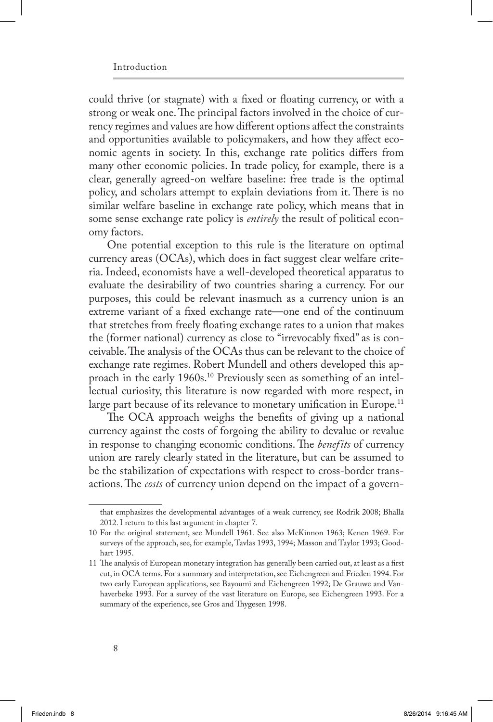could thrive (or stagnate) with a fixed or floating currency, or with a strong or weak one. The principal factors involved in the choice of currency regimes and values are how different options affect the constraints and opportunities available to policymakers, and how they affect economic agents in society. In this, exchange rate politics differs from many other economic policies. In trade policy, for example, there is a clear, generally agreed-on welfare baseline: free trade is the optimal policy, and scholars attempt to explain deviations from it. There is no similar welfare baseline in exchange rate policy, which means that in some sense exchange rate policy is *entirely* the result of political economy factors.

One potential exception to this rule is the literature on optimal currency areas (OCAs), which does in fact suggest clear welfare criteria. Indeed, economists have a well-developed theoretical apparatus to evaluate the desirability of two countries sharing a currency. For our purposes, this could be relevant inasmuch as a currency union is an extreme variant of a fixed exchange rate—one end of the continuum that stretches from freely floating exchange rates to a union that makes the (former national) currency as close to "irrevocably fixed" as is conceivable. The analysis of the OCAs thus can be relevant to the choice of exchange rate regimes. Robert Mundell and others developed this approach in the early 1960s.10 Previously seen as something of an intellectual curiosity, this literature is now regarded with more respect, in large part because of its relevance to monetary unification in Europe.<sup>11</sup>

The OCA approach weighs the benefits of giving up a national currency against the costs of forgoing the ability to devalue or revalue in response to changing economic conditions. The *benefits* of currency union are rarely clearly stated in the literature, but can be assumed to be the stabilization of expectations with respect to cross-border transactions. The *costs* of currency union depend on the impact of a govern-

that emphasizes the developmental advantages of a weak currency, see Rodrik 2008; Bhalla 2012. I return to this last argument in chapter 7.

<sup>10</sup> For the original statement, see Mundell 1961. See also McKinnon 1963; Kenen 1969. For surveys of the approach, see, for example, Tavlas 1993, 1994; Masson and Taylor 1993; Goodhart 1995.

<sup>11</sup> The analysis of European monetary integration has generally been carried out, at least as a first cut, in OCA terms. For a summary and interpretation, see Eichengreen and Frieden 1994. For two early European applications, see Bayoumi and Eichengreen 1992; De Grauwe and Vanhaverbeke 1993. For a survey of the vast literature on Europe, see Eichengreen 1993. For a summary of the experience, see Gros and Thygesen 1998.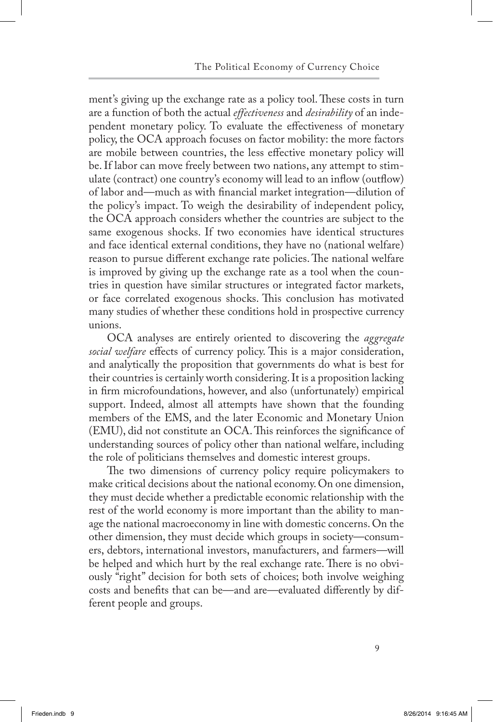ment's giving up the exchange rate as a policy tool. These costs in turn are a function of both the actual *effectiveness* and *desirability* of an independent monetary policy. To evaluate the effectiveness of monetary policy, the OCA approach focuses on factor mobility: the more factors are mobile between countries, the less effective monetary policy will be. If labor can move freely between two nations, any attempt to stimulate (contract) one country's economy will lead to an inflow (outflow) of labor and—much as with financial market integration—dilution of the policy's impact. To weigh the desirability of independent policy, the OCA approach considers whether the countries are subject to the same exogenous shocks. If two economies have identical structures and face identical external conditions, they have no (national welfare) reason to pursue different exchange rate policies. The national welfare is improved by giving up the exchange rate as a tool when the countries in question have similar structures or integrated factor markets, or face correlated exogenous shocks. This conclusion has motivated many studies of whether these conditions hold in prospective currency unions.

OCA analyses are entirely oriented to discovering the *aggregate social welfare* effects of currency policy. This is a major consideration, and analytically the proposition that governments do what is best for their countries is certainly worth considering. It is a proposition lacking in firm microfoundations, however, and also (unfortunately) empirical support. Indeed, almost all attempts have shown that the founding members of the EMS, and the later Economic and Monetary Union (EMU), did not constitute an OCA. This reinforces the significance of understanding sources of policy other than national welfare, including the role of politicians themselves and domestic interest groups.

The two dimensions of currency policy require policymakers to make critical decisions about the national economy. On one dimension, they must decide whether a predictable economic relationship with the rest of the world economy is more important than the ability to manage the national macroeconomy in line with domestic concerns. On the other dimension, they must decide which groups in society—consumers, debtors, international investors, manufacturers, and farmers—will be helped and which hurt by the real exchange rate. There is no obviously "right" decision for both sets of choices; both involve weighing costs and benefits that can be—and are—evaluated differently by different people and groups.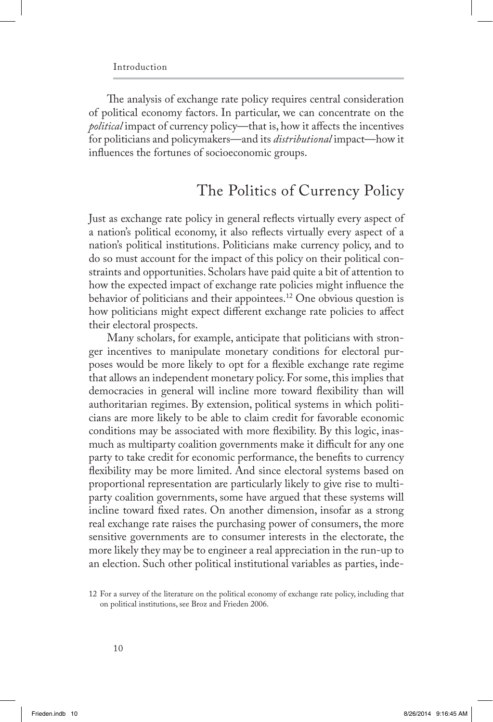The analysis of exchange rate policy requires central consideration of political economy factors. In particular, we can concentrate on the *political* impact of currency policy—that is, how it affects the incentives for politicians and policymakers—and its *distributional* impact—how it influences the fortunes of socioeconomic groups.

## The Politics of Currency Policy

Just as exchange rate policy in general reflects virtually every aspect of a nation's political economy, it also reflects virtually every aspect of a nation's political institutions. Politicians make currency policy, and to do so must account for the impact of this policy on their political constraints and opportunities. Scholars have paid quite a bit of attention to how the expected impact of exchange rate policies might influence the behavior of politicians and their appointees.<sup>12</sup> One obvious question is how politicians might expect different exchange rate policies to affect their electoral prospects.

Many scholars, for example, anticipate that politicians with stronger incentives to manipulate monetary conditions for electoral purposes would be more likely to opt for a flexible exchange rate regime that allows an independent monetary policy. For some, this implies that democracies in general will incline more toward flexibility than will authoritarian regimes. By extension, political systems in which politicians are more likely to be able to claim credit for favorable economic conditions may be associated with more flexibility. By this logic, inasmuch as multiparty coalition governments make it difficult for any one party to take credit for economic performance, the benefits to currency flexibility may be more limited. And since electoral systems based on proportional representation are particularly likely to give rise to multiparty coalition governments, some have argued that these systems will incline toward fixed rates. On another dimension, insofar as a strong real exchange rate raises the purchasing power of consumers, the more sensitive governments are to consumer interests in the electorate, the more likely they may be to engineer a real appreciation in the run-up to an election. Such other political institutional variables as parties, inde-

<sup>12</sup> For a survey of the literature on the political economy of exchange rate policy, including that on political institutions, see Broz and Frieden 2006.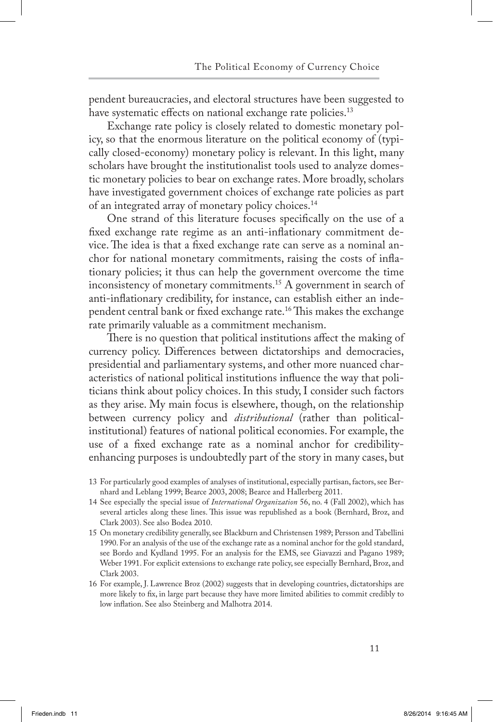pendent bureaucracies, and electoral structures have been suggested to have systematic effects on national exchange rate policies.<sup>13</sup>

Exchange rate policy is closely related to domestic monetary policy, so that the enormous literature on the political economy of (typically closed-economy) monetary policy is relevant. In this light, many scholars have brought the institutionalist tools used to analyze domestic monetary policies to bear on exchange rates. More broadly, scholars have investigated government choices of exchange rate policies as part of an integrated array of monetary policy choices.<sup>14</sup>

One strand of this literature focuses specifically on the use of a fixed exchange rate regime as an anti-inflationary commitment device. The idea is that a fixed exchange rate can serve as a nominal anchor for national monetary commitments, raising the costs of inflationary policies; it thus can help the government overcome the time inconsistency of monetary commitments.<sup>15</sup> A government in search of anti-inflationary credibility, for instance, can establish either an independent central bank or fixed exchange rate.<sup>16</sup> This makes the exchange rate primarily valuable as a commitment mechanism.

There is no question that political institutions affect the making of currency policy. Differences between dictatorships and democracies, presidential and parliamentary systems, and other more nuanced characteristics of national political institutions influence the way that politicians think about policy choices. In this study, I consider such factors as they arise. My main focus is elsewhere, though, on the relationship between currency policy and *distributional* (rather than politicalinstitutional) features of national political economies. For example, the use of a fixed exchange rate as a nominal anchor for credibilityenhancing purposes is undoubtedly part of the story in many cases, but

- 14 See especially the special issue of *International Organization* 56, no. 4 (Fall 2002), which has several articles along these lines. This issue was republished as a book (Bernhard, Broz, and Clark 2003). See also Bodea 2010.
- 15 On monetary credibility generally, see Blackburn and Christensen 1989; Persson and Tabellini 1990. For an analysis of the use of the exchange rate as a nominal anchor for the gold standard, see Bordo and Kydland 1995. For an analysis for the EMS, see Giavazzi and Pagano 1989; Weber 1991. For explicit extensions to exchange rate policy, see especially Bernhard, Broz, and Clark 2003.
- 16 For example, J. Lawrence Broz (2002) suggests that in developing countries, dictatorships are more likely to fix, in large part because they have more limited abilities to commit credibly to low inflation. See also Steinberg and Malhotra 2014.

<sup>13</sup> For particularly good examples of analyses of institutional, especially partisan, factors, see Bernhard and Leblang 1999; Bearce 2003, 2008; Bearce and Hallerberg 2011.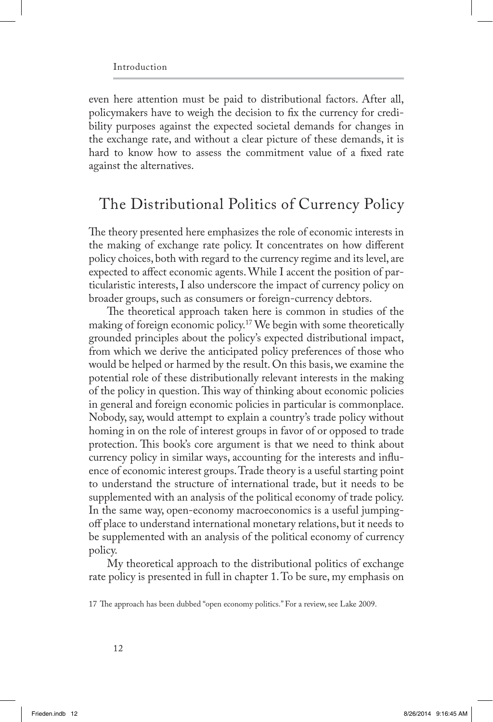even here attention must be paid to distributional factors. After all, policymakers have to weigh the decision to fix the currency for credibility purposes against the expected societal demands for changes in the exchange rate, and without a clear picture of these demands, it is hard to know how to assess the commitment value of a fixed rate against the alternatives.

## The Distributional Politics of Currency Policy

The theory presented here emphasizes the role of economic interests in the making of exchange rate policy. It concentrates on how different policy choices, both with regard to the currency regime and its level, are expected to affect economic agents. While I accent the position of particularistic interests, I also underscore the impact of currency policy on broader groups, such as consumers or foreign-currency debtors.

The theoretical approach taken here is common in studies of the making of foreign economic policy.17 We begin with some theoretically grounded principles about the policy's expected distributional impact, from which we derive the anticipated policy preferences of those who would be helped or harmed by the result. On this basis, we examine the potential role of these distributionally relevant interests in the making of the policy in question. This way of thinking about economic policies in general and foreign economic policies in particular is commonplace. Nobody, say, would attempt to explain a country's trade policy without homing in on the role of interest groups in favor of or opposed to trade protection. This book's core argument is that we need to think about currency policy in similar ways, accounting for the interests and influence of economic interest groups. Trade theory is a useful starting point to understand the structure of international trade, but it needs to be supplemented with an analysis of the political economy of trade policy. In the same way, open-economy macroeconomics is a useful jumpingoff place to understand international monetary relations, but it needs to be supplemented with an analysis of the political economy of currency policy.

My theoretical approach to the distributional politics of exchange rate policy is presented in full in chapter 1. To be sure, my emphasis on

<sup>17</sup> The approach has been dubbed "open economy politics." For a review, see Lake 2009.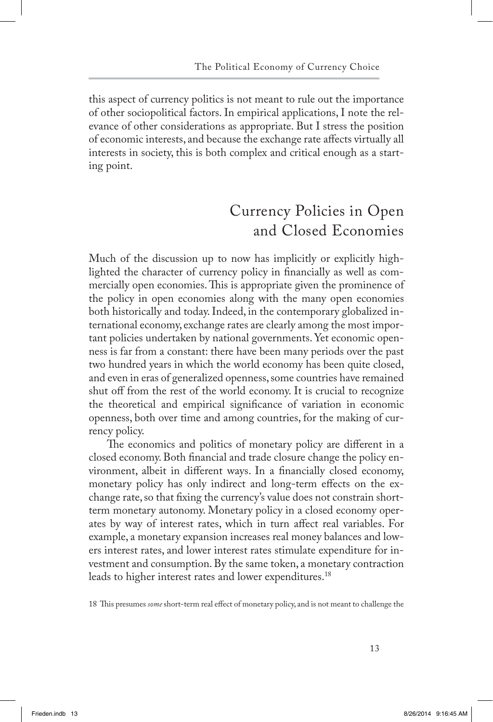this aspect of currency politics is not meant to rule out the importance of other sociopolitical factors. In empirical applications, I note the relevance of other considerations as appropriate. But I stress the position of economic interests, and because the exchange rate affects virtually all interests in society, this is both complex and critical enough as a starting point.

## Currency Policies in Open and Closed Economies

Much of the discussion up to now has implicitly or explicitly highlighted the character of currency policy in financially as well as commercially open economies. This is appropriate given the prominence of the policy in open economies along with the many open economies both historically and today. Indeed, in the contemporary globalized international economy, exchange rates are clearly among the most important policies undertaken by national governments. Yet economic openness is far from a constant: there have been many periods over the past two hundred years in which the world economy has been quite closed, and even in eras of generalized openness, some countries have remained shut off from the rest of the world economy. It is crucial to recognize the theoretical and empirical significance of variation in economic openness, both over time and among countries, for the making of currency policy.

The economics and politics of monetary policy are different in a closed economy. Both financial and trade closure change the policy environment, albeit in different ways. In a financially closed economy, monetary policy has only indirect and long-term effects on the exchange rate, so that fixing the currency's value does not constrain shortterm monetary autonomy. Monetary policy in a closed economy operates by way of interest rates, which in turn affect real variables. For example, a monetary expansion increases real money balances and lowers interest rates, and lower interest rates stimulate expenditure for investment and consumption. By the same token, a monetary contraction leads to higher interest rates and lower expenditures.<sup>18</sup>

18 This presumes *some* short-term real effect of monetary policy, and is not meant to challenge the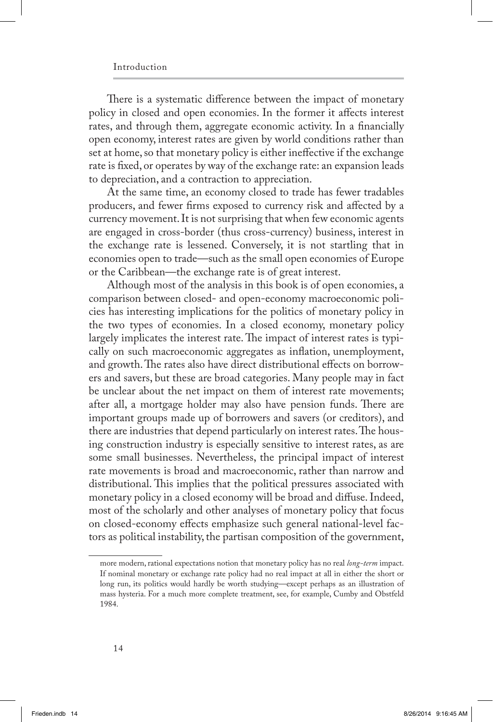There is a systematic difference between the impact of monetary policy in closed and open economies. In the former it affects interest rates, and through them, aggregate economic activity. In a financially open economy, interest rates are given by world conditions rather than set at home, so that monetary policy is either ineffective if the exchange rate is fixed, or operates by way of the exchange rate: an expansion leads to depreciation, and a contraction to appreciation.

At the same time, an economy closed to trade has fewer tradables producers, and fewer firms exposed to currency risk and affected by a currency movement. It is not surprising that when few economic agents are engaged in cross-border (thus cross-currency) business, interest in the exchange rate is lessened. Conversely, it is not startling that in economies open to trade—such as the small open economies of Europe or the Caribbean—the exchange rate is of great interest.

Although most of the analysis in this book is of open economies, a comparison between closed- and open-economy macroeconomic policies has interesting implications for the politics of monetary policy in the two types of economies. In a closed economy, monetary policy largely implicates the interest rate. The impact of interest rates is typically on such macroeconomic aggregates as inflation, unemployment, and growth. The rates also have direct distributional effects on borrowers and savers, but these are broad categories. Many people may in fact be unclear about the net impact on them of interest rate movements; after all, a mortgage holder may also have pension funds. There are important groups made up of borrowers and savers (or creditors), and there are industries that depend particularly on interest rates. The housing construction industry is especially sensitive to interest rates, as are some small businesses. Nevertheless, the principal impact of interest rate movements is broad and macroeconomic, rather than narrow and distributional. This implies that the political pressures associated with monetary policy in a closed economy will be broad and diffuse. Indeed, most of the scholarly and other analyses of monetary policy that focus on closed-economy effects emphasize such general national-level factors as political instability, the partisan composition of the government,

more modern, rational expectations notion that monetary policy has no real *long-term* impact. If nominal monetary or exchange rate policy had no real impact at all in either the short or long run, its politics would hardly be worth studying—except perhaps as an illustration of mass hysteria. For a much more complete treatment, see, for example, Cumby and Obstfeld 1984.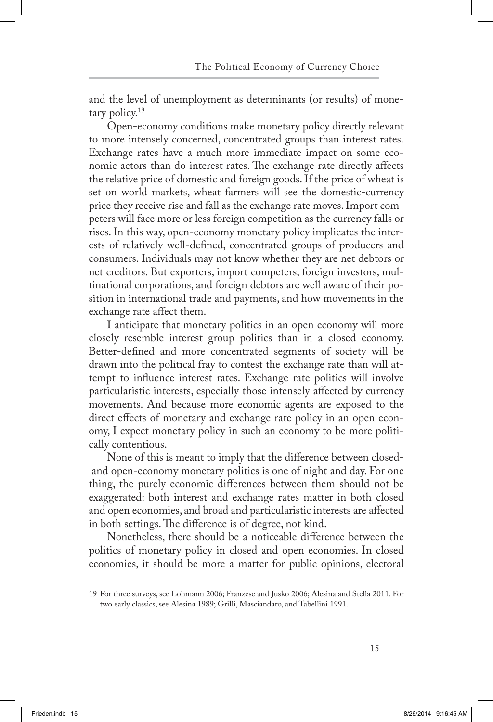and the level of unemployment as determinants (or results) of monetary policy.19

Open-economy conditions make monetary policy directly relevant to more intensely concerned, concentrated groups than interest rates. Exchange rates have a much more immediate impact on some economic actors than do interest rates. The exchange rate directly affects the relative price of domestic and foreign goods. If the price of wheat is set on world markets, wheat farmers will see the domestic-currency price they receive rise and fall as the exchange rate moves. Import competers will face more or less foreign competition as the currency falls or rises. In this way, open-economy monetary policy implicates the interests of relatively well-defined, concentrated groups of producers and consumers. Individuals may not know whether they are net debtors or net creditors. But exporters, import competers, foreign investors, multinational corporations, and foreign debtors are well aware of their position in international trade and payments, and how movements in the exchange rate affect them.

I anticipate that monetary politics in an open economy will more closely resemble interest group politics than in a closed economy. Better-defined and more concentrated segments of society will be drawn into the political fray to contest the exchange rate than will attempt to influence interest rates. Exchange rate politics will involve particularistic interests, especially those intensely affected by currency movements. And because more economic agents are exposed to the direct effects of monetary and exchange rate policy in an open economy, I expect monetary policy in such an economy to be more politically contentious.

None of this is meant to imply that the difference between closed and open-economy monetary politics is one of night and day. For one thing, the purely economic differences between them should not be exaggerated: both interest and exchange rates matter in both closed and open economies, and broad and particularistic interests are affected in both settings. The difference is of degree, not kind.

Nonetheless, there should be a noticeable difference between the politics of monetary policy in closed and open economies. In closed economies, it should be more a matter for public opinions, electoral

<sup>19</sup> For three surveys, see Lohmann 2006; Franzese and Jusko 2006; Alesina and Stella 2011. For two early classics, see Alesina 1989; Grilli, Masciandaro, and Tabellini 1991.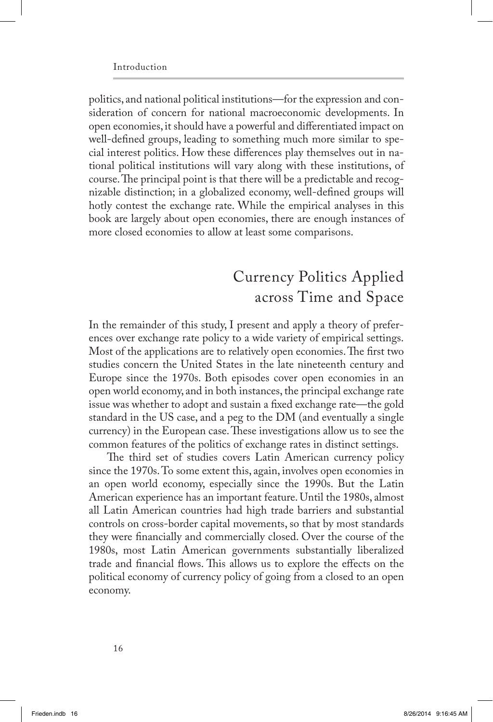politics, and national political institutions—for the expression and consideration of concern for national macroeconomic developments. In open economies, it should have a powerful and differentiated impact on well-defined groups, leading to something much more similar to special interest politics. How these differences play themselves out in national political institutions will vary along with these institutions, of course. The principal point is that there will be a predictable and recognizable distinction; in a globalized economy, well-defined groups will hotly contest the exchange rate. While the empirical analyses in this book are largely about open economies, there are enough instances of more closed economies to allow at least some comparisons.

## Currency Politics Applied across Time and Space

In the remainder of this study, I present and apply a theory of preferences over exchange rate policy to a wide variety of empirical settings. Most of the applications are to relatively open economies. The first two studies concern the United States in the late nineteenth century and Europe since the 1970s. Both episodes cover open economies in an open world economy, and in both instances, the principal exchange rate issue was whether to adopt and sustain a fixed exchange rate—the gold standard in the US case, and a peg to the DM (and eventually a single currency) in the European case. These investigations allow us to see the common features of the politics of exchange rates in distinct settings.

The third set of studies covers Latin American currency policy since the 1970s. To some extent this, again, involves open economies in an open world economy, especially since the 1990s. But the Latin American experience has an important feature. Until the 1980s, almost all Latin American countries had high trade barriers and substantial controls on cross-border capital movements, so that by most standards they were financially and commercially closed. Over the course of the 1980s, most Latin American governments substantially liberalized trade and financial flows. This allows us to explore the effects on the political economy of currency policy of going from a closed to an open economy.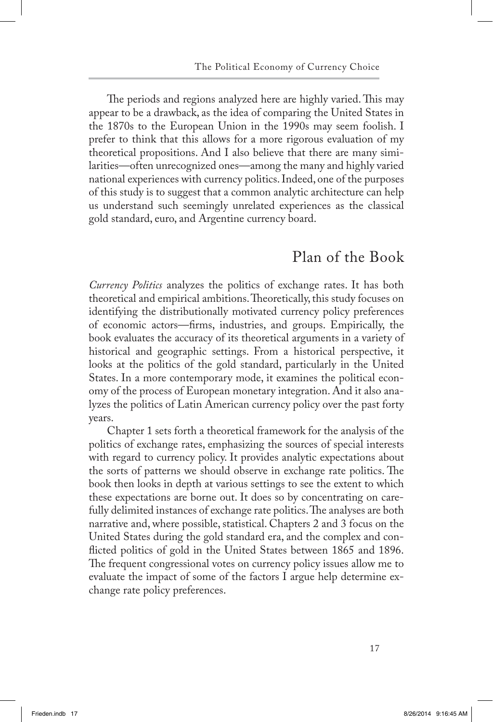The periods and regions analyzed here are highly varied. This may appear to be a drawback, as the idea of comparing the United States in the 1870s to the European Union in the 1990s may seem foolish. I prefer to think that this allows for a more rigorous evaluation of my theoretical propositions. And I also believe that there are many similarities—often unrecognized ones—among the many and highly varied national experiences with currency politics. Indeed, one of the purposes of this study is to suggest that a common analytic architecture can help us understand such seemingly unrelated experiences as the classical gold standard, euro, and Argentine currency board.

### Plan of the Book

*Currency Politics* analyzes the politics of exchange rates. It has both theoretical and empirical ambitions. Theoretically, this study focuses on identifying the distributionally motivated currency policy preferences of economic actors—firms, industries, and groups. Empirically, the book evaluates the accuracy of its theoretical arguments in a variety of historical and geographic settings. From a historical perspective, it looks at the politics of the gold standard, particularly in the United States. In a more contemporary mode, it examines the political economy of the process of European monetary integration. And it also analyzes the politics of Latin American currency policy over the past forty years.

Chapter 1 sets forth a theoretical framework for the analysis of the politics of exchange rates, emphasizing the sources of special interests with regard to currency policy. It provides analytic expectations about the sorts of patterns we should observe in exchange rate politics. The book then looks in depth at various settings to see the extent to which these expectations are borne out. It does so by concentrating on carefully delimited instances of exchange rate politics. The analyses are both narrative and, where possible, statistical. Chapters 2 and 3 focus on the United States during the gold standard era, and the complex and conflicted politics of gold in the United States between 1865 and 1896. The frequent congressional votes on currency policy issues allow me to evaluate the impact of some of the factors I argue help determine exchange rate policy preferences.